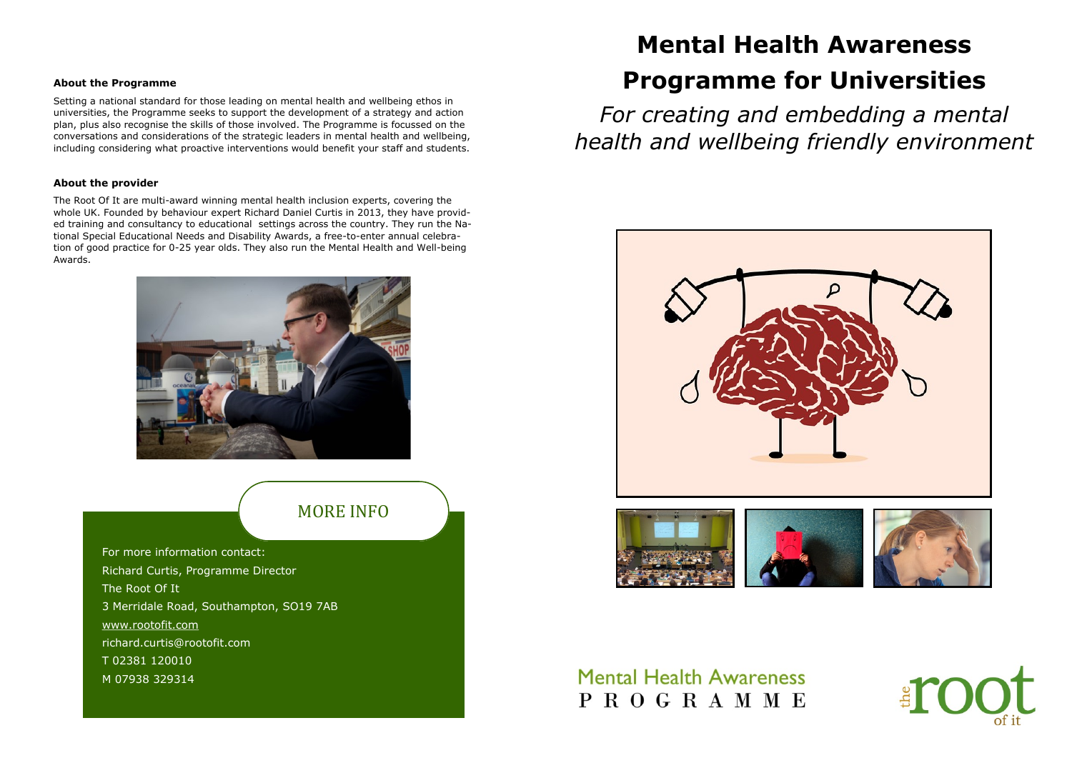For more information contact: Richard Curtis, Programme Director The Root Of It 3 Merridale Road, Southampton, SO19 7AB [www.rootofit.com](https://www.rootofit.com) richard.curtis@rootofit.com T 02381 120010 M 07938 329314

### MORE INFO

#### **About the Programme**

Setting a national standard for those leading on mental health and wellbeing ethos in universities, the Programme seeks to support the development of a strategy and action plan, plus also recognise the skills of those involved. The Programme is focussed on the conversations and considerations of the strategic leaders in mental health and wellbeing, including considering what proactive interventions would benefit your staff and students.

#### **About the provider**

The Root Of It are multi-award winning mental health inclusion experts, covering the whole UK. Founded by behaviour expert Richard Daniel Curtis in 2013, they have provided training and consultancy to educational settings across the country. They run the National Special Educational Needs and Disability Awards, a free-to-enter annual celebration of good practice for 0-25 year olds. They also run the Mental Health and Well-being Awards.



# **Mental Health Awareness Programme for Universities**

*For creating and embedding a mental health and wellbeing friendly environment*





## **Mental Health Awareness** PROGRAMME